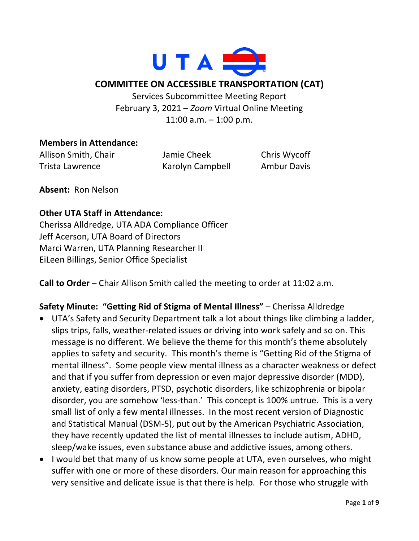

### **COMMITTEE ON ACCESSIBLE TRANSPORTATION (CAT)**

Services Subcommittee Meeting Report February 3, 2021 – *Zoom* Virtual Online Meeting 11:00 a.m. – 1:00 p.m.

#### **Members in Attendance:**

Allison Smith, Chair Jamie Cheek Chris Wycoff Trista Lawrence Karolyn Campbell Ambur Davis

**Absent:** Ron Nelson

### **Other UTA Staff in Attendance:**

Cherissa Alldredge, UTA ADA Compliance Officer Jeff Acerson, UTA Board of Directors Marci Warren, UTA Planning Researcher II EiLeen Billings, Senior Office Specialist

**Call to Order** – Chair Allison Smith called the meeting to order at 11:02 a.m.

# **Safety Minute: "Getting Rid of Stigma of Mental Illness"** – Cherissa Alldredge

- UTA's Safety and Security Department talk a lot about things like climbing a ladder, slips trips, falls, weather-related issues or driving into work safely and so on. This message is no different. We believe the theme for this month's theme absolutely applies to safety and security. This month's theme is "Getting Rid of the Stigma of mental illness". Some people view mental illness as a character weakness or defect and that if you suffer from depression or even major depressive disorder (MDD), anxiety, eating disorders, PTSD, psychotic disorders, like schizophrenia or bipolar disorder, you are somehow 'less-than.' This concept is 100% untrue. This is a very small list of only a few mental illnesses. In the most recent version of Diagnostic and Statistical Manual (DSM-5), put out by the American Psychiatric Association, they have recently updated the list of mental illnesses to include autism, ADHD, sleep/wake issues, even substance abuse and addictive issues, among others.
- I would bet that many of us know some people at UTA, even ourselves, who might suffer with one or more of these disorders. Our main reason for approaching this very sensitive and delicate issue is that there is help. For those who struggle with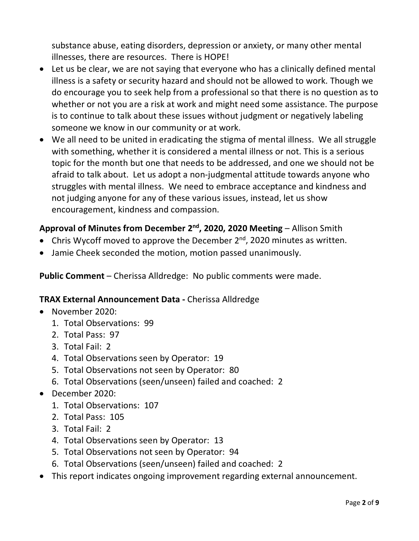substance abuse, eating disorders, depression or anxiety, or many other mental illnesses, there are resources. There is HOPE!

- Let us be clear, we are not saying that everyone who has a clinically defined mental illness is a safety or security hazard and should not be allowed to work. Though we do encourage you to seek help from a professional so that there is no question as to whether or not you are a risk at work and might need some assistance. The purpose is to continue to talk about these issues without judgment or negatively labeling someone we know in our community or at work.
- We all need to be united in eradicating the stigma of mental illness. We all struggle with something, whether it is considered a mental illness or not. This is a serious topic for the month but one that needs to be addressed, and one we should not be afraid to talk about. Let us adopt a non-judgmental attitude towards anyone who struggles with mental illness. We need to embrace acceptance and kindness and not judging anyone for any of these various issues, instead, let us show encouragement, kindness and compassion.

# Approval of Minutes from December 2<sup>nd</sup>, 2020, 2020 Meeting – Allison Smith

- Chris Wycoff moved to approve the December  $2^{nd}$ , 2020 minutes as written.
- Jamie Cheek seconded the motion, motion passed unanimously.

**Public Comment** – Cherissa Alldredge: No public comments were made.

#### **TRAX External Announcement Data -** Cherissa Alldredge

- November 2020:
	- 1. Total Observations: 99
	- 2. Total Pass: 97
	- 3. Total Fail: 2
	- 4. Total Observations seen by Operator: 19
	- 5. Total Observations not seen by Operator: 80
	- 6. Total Observations (seen/unseen) failed and coached: 2
- December 2020:
	- 1. Total Observations: 107
	- 2. Total Pass: 105
	- 3. Total Fail: 2
	- 4. Total Observations seen by Operator: 13
	- 5. Total Observations not seen by Operator: 94
	- 6. Total Observations (seen/unseen) failed and coached: 2
- This report indicates ongoing improvement regarding external announcement.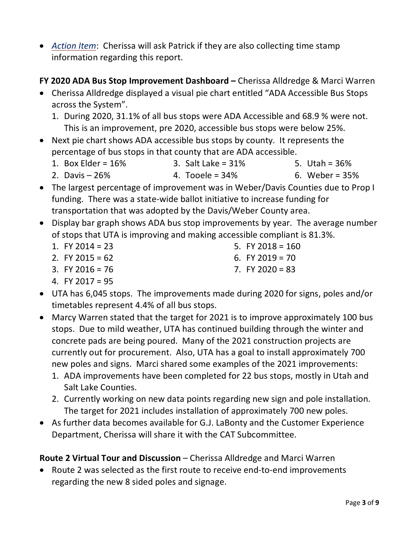- *Action Item*: Cherissa will ask Patrick if they are also collecting time stamp information regarding this report.
- **FY 2020 ADA Bus Stop Improvement Dashboard –** Cherissa Alldredge & Marci Warren
- Cherissa Alldredge displayed a visual pie chart entitled "ADA Accessible Bus Stops across the System".
	- 1. During 2020, 31.1% of all bus stops were ADA Accessible and 68.9 % were not. This is an improvement, pre 2020, accessible bus stops were below 25%.
- Next pie chart shows ADA accessible bus stops by county. It represents the percentage of bus stops in that county that are ADA accessible.
	- 1. Box Elder =  $16%$ 3. Salt Lake = 31% 5. Utah = 36%
	- 2. Davis 26% 4. Tooele = 34% 6. Weber = 35%
- The largest percentage of improvement was in Weber/Davis Counties due to Prop I funding. There was a state-wide ballot initiative to increase funding for transportation that was adopted by the Davis/Weber County area.
- Display bar graph shows ADA bus stop improvements by year. The average number of stops that UTA is improving and making accessible compliant is 81.3%.
	- 1. FY 2014 = 23 5. FY 2018 =  $160$
	- 2. FY 2015 =  $62$ 6. FY 2019 =  $70$
	- 3. FY 2016 =  $76$

7. FY 2020 = 83

- 4. FY 2017 = 95
- UTA has 6,045 stops. The improvements made during 2020 for signs, poles and/or timetables represent 4.4% of all bus stops.
- Marcy Warren stated that the target for 2021 is to improve approximately 100 bus stops. Due to mild weather, UTA has continued building through the winter and concrete pads are being poured. Many of the 2021 construction projects are currently out for procurement. Also, UTA has a goal to install approximately 700 new poles and signs. Marci shared some examples of the 2021 improvements:
	- 1. ADA improvements have been completed for 22 bus stops, mostly in Utah and Salt Lake Counties.
	- 2. Currently working on new data points regarding new sign and pole installation. The target for 2021 includes installation of approximately 700 new poles.
- As further data becomes available for G.J. LaBonty and the Customer Experience Department, Cherissa will share it with the CAT Subcommittee.

**Route 2 Virtual Tour and Discussion** – Cherissa Alldredge and Marci Warren

• Route 2 was selected as the first route to receive end-to-end improvements regarding the new 8 sided poles and signage.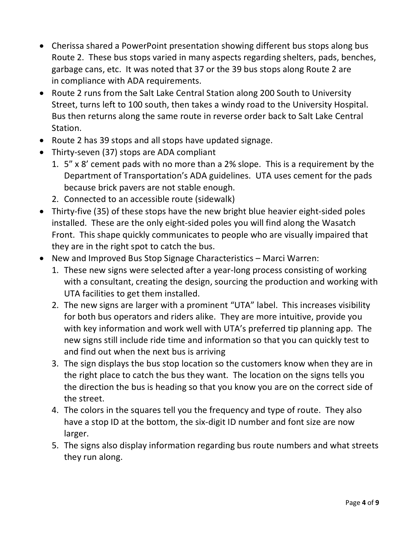- Cherissa shared a PowerPoint presentation showing different bus stops along bus Route 2. These bus stops varied in many aspects regarding shelters, pads, benches, garbage cans, etc. It was noted that 37 or the 39 bus stops along Route 2 are in compliance with ADA requirements.
- Route 2 runs from the Salt Lake Central Station along 200 South to University Street, turns left to 100 south, then takes a windy road to the University Hospital. Bus then returns along the same route in reverse order back to Salt Lake Central Station.
- Route 2 has 39 stops and all stops have updated signage.
- Thirty-seven (37) stops are ADA compliant
	- 1. 5" x 8' cement pads with no more than a 2% slope. This is a requirement by the Department of Transportation's ADA guidelines. UTA uses cement for the pads because brick pavers are not stable enough.
	- 2. Connected to an accessible route (sidewalk)
- Thirty-five (35) of these stops have the new bright blue heavier eight-sided poles installed. These are the only eight-sided poles you will find along the Wasatch Front. This shape quickly communicates to people who are visually impaired that they are in the right spot to catch the bus.
- New and Improved Bus Stop Signage Characteristics Marci Warren:
	- 1. These new signs were selected after a year-long process consisting of working with a consultant, creating the design, sourcing the production and working with UTA facilities to get them installed.
	- 2. The new signs are larger with a prominent "UTA" label. This increases visibility for both bus operators and riders alike. They are more intuitive, provide you with key information and work well with UTA's preferred tip planning app. The new signs still include ride time and information so that you can quickly test to and find out when the next bus is arriving
	- 3. The sign displays the bus stop location so the customers know when they are in the right place to catch the bus they want. The location on the signs tells you the direction the bus is heading so that you know you are on the correct side of the street.
	- 4. The colors in the squares tell you the frequency and type of route. They also have a stop ID at the bottom, the six-digit ID number and font size are now larger.
	- 5. The signs also display information regarding bus route numbers and what streets they run along.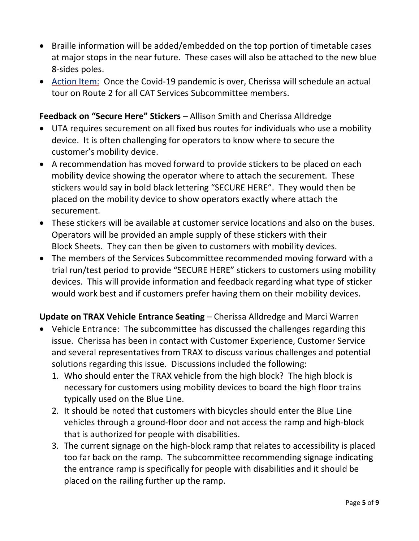- Braille information will be added/embedded on the top portion of timetable cases at major stops in the near future. These cases will also be attached to the new blue 8-sides poles.
- Action Item: Once the Covid-19 pandemic is over, Cherissa will schedule an actual tour on Route 2 for all CAT Services Subcommittee members.

### **Feedback on "Secure Here" Stickers** – Allison Smith and Cherissa Alldredge

- UTA requires securement on all fixed bus routes for individuals who use a mobility device. It is often challenging for operators to know where to secure the customer's mobility device.
- A recommendation has moved forward to provide stickers to be placed on each mobility device showing the operator where to attach the securement. These stickers would say in bold black lettering "SECURE HERE". They would then be placed on the mobility device to show operators exactly where attach the securement.
- These stickers will be available at customer service locations and also on the buses. Operators will be provided an ample supply of these stickers with their Block Sheets. They can then be given to customers with mobility devices.
- The members of the Services Subcommittee recommended moving forward with a trial run/test period to provide "SECURE HERE" stickers to customers using mobility devices. This will provide information and feedback regarding what type of sticker would work best and if customers prefer having them on their mobility devices.

# **Update on TRAX Vehicle Entrance Seating** – Cherissa Alldredge and Marci Warren

- Vehicle Entrance: The subcommittee has discussed the challenges regarding this issue. Cherissa has been in contact with Customer Experience, Customer Service and several representatives from TRAX to discuss various challenges and potential solutions regarding this issue. Discussions included the following:
	- 1. Who should enter the TRAX vehicle from the high block? The high block is necessary for customers using mobility devices to board the high floor trains typically used on the Blue Line.
	- 2. It should be noted that customers with bicycles should enter the Blue Line vehicles through a ground-floor door and not access the ramp and high-block that is authorized for people with disabilities.
	- 3. The current signage on the high-block ramp that relates to accessibility is placed too far back on the ramp. The subcommittee recommending signage indicating the entrance ramp is specifically for people with disabilities and it should be placed on the railing further up the ramp.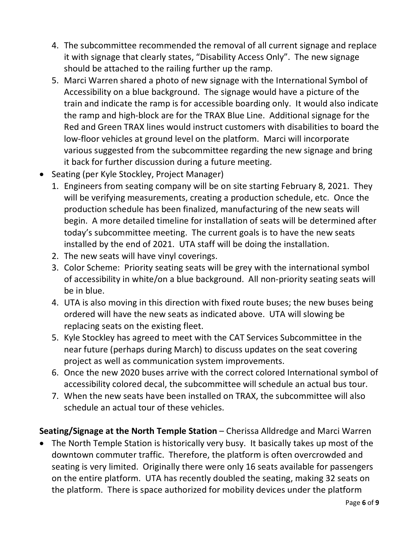- 4. The subcommittee recommended the removal of all current signage and replace it with signage that clearly states, "Disability Access Only". The new signage should be attached to the railing further up the ramp.
- 5. Marci Warren shared a photo of new signage with the International Symbol of Accessibility on a blue background. The signage would have a picture of the train and indicate the ramp is for accessible boarding only. It would also indicate the ramp and high-block are for the TRAX Blue Line. Additional signage for the Red and Green TRAX lines would instruct customers with disabilities to board the low-floor vehicles at ground level on the platform. Marci will incorporate various suggested from the subcommittee regarding the new signage and bring it back for further discussion during a future meeting.
- Seating (per Kyle Stockley, Project Manager)
	- 1. Engineers from seating company will be on site starting February 8, 2021. They will be verifying measurements, creating a production schedule, etc. Once the production schedule has been finalized, manufacturing of the new seats will begin. A more detailed timeline for installation of seats will be determined after today's subcommittee meeting. The current goals is to have the new seats installed by the end of 2021. UTA staff will be doing the installation.
	- 2. The new seats will have vinyl coverings.
	- 3. Color Scheme: Priority seating seats will be grey with the international symbol of accessibility in white/on a blue background. All non-priority seating seats will be in blue.
	- 4. UTA is also moving in this direction with fixed route buses; the new buses being ordered will have the new seats as indicated above. UTA will slowing be replacing seats on the existing fleet.
	- 5. Kyle Stockley has agreed to meet with the CAT Services Subcommittee in the near future (perhaps during March) to discuss updates on the seat covering project as well as communication system improvements.
	- 6. Once the new 2020 buses arrive with the correct colored International symbol of accessibility colored decal, the subcommittee will schedule an actual bus tour.
	- 7. When the new seats have been installed on TRAX, the subcommittee will also schedule an actual tour of these vehicles.

# **Seating/Signage at the North Temple Station** – Cherissa Alldredge and Marci Warren

• The North Temple Station is historically very busy. It basically takes up most of the downtown commuter traffic. Therefore, the platform is often overcrowded and seating is very limited. Originally there were only 16 seats available for passengers on the entire platform. UTA has recently doubled the seating, making 32 seats on the platform. There is space authorized for mobility devices under the platform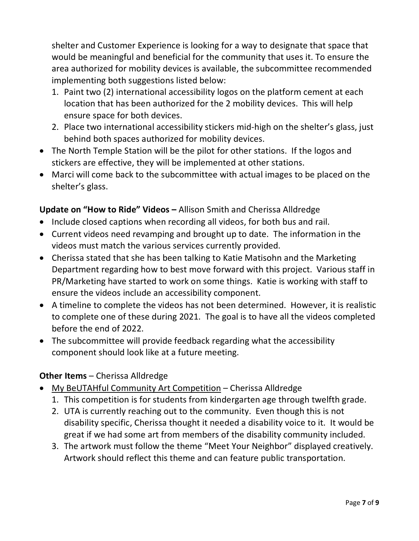shelter and Customer Experience is looking for a way to designate that space that would be meaningful and beneficial for the community that uses it. To ensure the area authorized for mobility devices is available, the subcommittee recommended implementing both suggestions listed below:

- 1. Paint two (2) international accessibility logos on the platform cement at each location that has been authorized for the 2 mobility devices. This will help ensure space for both devices.
- 2. Place two international accessibility stickers mid-high on the shelter's glass, just behind both spaces authorized for mobility devices.
- The North Temple Station will be the pilot for other stations. If the logos and stickers are effective, they will be implemented at other stations.
- Marci will come back to the subcommittee with actual images to be placed on the shelter's glass.

# **Update on "How to Ride" Videos –** Allison Smith and Cherissa Alldredge

- Include closed captions when recording all videos, for both bus and rail.
- Current videos need revamping and brought up to date. The information in the videos must match the various services currently provided.
- Cherissa stated that she has been talking to Katie Matisohn and the Marketing Department regarding how to best move forward with this project. Various staff in PR/Marketing have started to work on some things. Katie is working with staff to ensure the videos include an accessibility component.
- A timeline to complete the videos has not been determined. However, it is realistic to complete one of these during 2021. The goal is to have all the videos completed before the end of 2022.
- The subcommittee will provide feedback regarding what the accessibility component should look like at a future meeting.

# **Other Items** – Cherissa Alldredge

- My BeUTAHful Community Art Competition Cherissa Alldredge
	- 1. This competition is for students from kindergarten age through twelfth grade.
	- 2. UTA is currently reaching out to the community. Even though this is not disability specific, Cherissa thought it needed a disability voice to it. It would be great if we had some art from members of the disability community included.
	- 3. The artwork must follow the theme "Meet Your Neighbor" displayed creatively. Artwork should reflect this theme and can feature public transportation.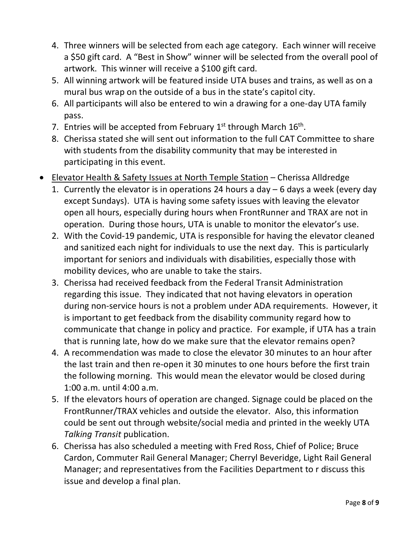- 4. Three winners will be selected from each age category. Each winner will receive a \$50 gift card. A "Best in Show" winner will be selected from the overall pool of artwork. This winner will receive a \$100 gift card.
- 5. All winning artwork will be featured inside UTA buses and trains, as well as on a mural bus wrap on the outside of a bus in the state's capitol city.
- 6. All participants will also be entered to win a drawing for a one-day UTA family pass.
- 7. Entries will be accepted from February  $1^{st}$  through March  $16^{th}$ .
- 8. Cherissa stated she will sent out information to the full CAT Committee to share with students from the disability community that may be interested in participating in this event.
- Elevator Health & Safety Issues at North Temple Station Cherissa Alldredge
	- 1. Currently the elevator is in operations 24 hours a day 6 days a week (every day except Sundays). UTA is having some safety issues with leaving the elevator open all hours, especially during hours when FrontRunner and TRAX are not in operation. During those hours, UTA is unable to monitor the elevator's use.
	- 2. With the Covid-19 pandemic, UTA is responsible for having the elevator cleaned and sanitized each night for individuals to use the next day. This is particularly important for seniors and individuals with disabilities, especially those with mobility devices, who are unable to take the stairs.
	- 3. Cherissa had received feedback from the Federal Transit Administration regarding this issue. They indicated that not having elevators in operation during non-service hours is not a problem under ADA requirements. However, it is important to get feedback from the disability community regard how to communicate that change in policy and practice. For example, if UTA has a train that is running late, how do we make sure that the elevator remains open?
	- 4. A recommendation was made to close the elevator 30 minutes to an hour after the last train and then re-open it 30 minutes to one hours before the first train the following morning. This would mean the elevator would be closed during 1:00 a.m. until 4:00 a.m.
	- 5. If the elevators hours of operation are changed. Signage could be placed on the FrontRunner/TRAX vehicles and outside the elevator. Also, this information could be sent out through website/social media and printed in the weekly UTA *Talking Transit* publication.
	- 6. Cherissa has also scheduled a meeting with Fred Ross, Chief of Police; Bruce Cardon, Commuter Rail General Manager; Cherryl Beveridge, Light Rail General Manager; and representatives from the Facilities Department to r discuss this issue and develop a final plan.